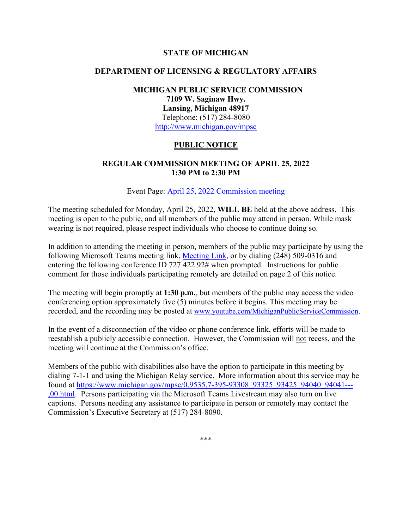#### **STATE OF MICHIGAN**

#### **DEPARTMENT OF LICENSING & REGULATORY AFFAIRS**

## **MICHIGAN PUBLIC SERVICE COMMISSION 7109 W. Saginaw Hwy. Lansing, Michigan 48917** Telephone: (517) 284-8080 <http://www.michigan.gov/mpsc>

### **PUBLIC NOTICE**

### **REGULAR COMMISSION MEETING OF APRIL 25, 2022 1:30 PM to 2:30 PM**

Event Page: [April 25, 2022 Commission meeting](https://bit.ly/3JTN7Bq) 

The meeting scheduled for Monday, April 25, 2022, **WILL BE** held at the above address. This meeting is open to the public, and all members of the public may attend in person. While mask wearing is not required, please respect individuals who choose to continue doing so.

In addition to attending the meeting in person, members of the public may participate by using the following Microsoft Teams meeting link, [Meeting Link,](https://bit.ly/3EpRPpu) or by dialing (248) 509-0316 and entering the following conference ID 727 422 92# when prompted. Instructions for public comment for those individuals participating remotely are detailed on page 2 of this notice.

The meeting will begin promptly at **1:30 p.m.**, but members of the public may access the video conferencing option approximately five (5) minutes before it begins. This meeting may be recorded, and the recording may be posted at [www.youtube.com/MichiganPublicServiceCommission.](http://www.youtube.com/MichiganPublicServiceCommission)

In the event of a disconnection of the video or phone conference link, efforts will be made to reestablish a publicly accessible connection. However, the Commission will not recess, and the meeting will continue at the Commission's office.

Members of the public with disabilities also have the option to participate in this meeting by dialing 7-1-1 and using the Michigan Relay service. More information about this service may be found at [https://www.michigan.gov/mpsc/0,9535,7-395-93308\\_93325\\_93425\\_94040\\_94041---](https://www.michigan.gov/mpsc/0,9535,7-395-93308_93325_93425_94040_94041---,00.html) [,00.html.](https://www.michigan.gov/mpsc/0,9535,7-395-93308_93325_93425_94040_94041---,00.html) Persons participating via the Microsoft Teams Livestream may also turn on live captions. Persons needing any assistance to participate in person or remotely may contact the Commission's Executive Secretary at (517) 284-8090.

\*\*\*